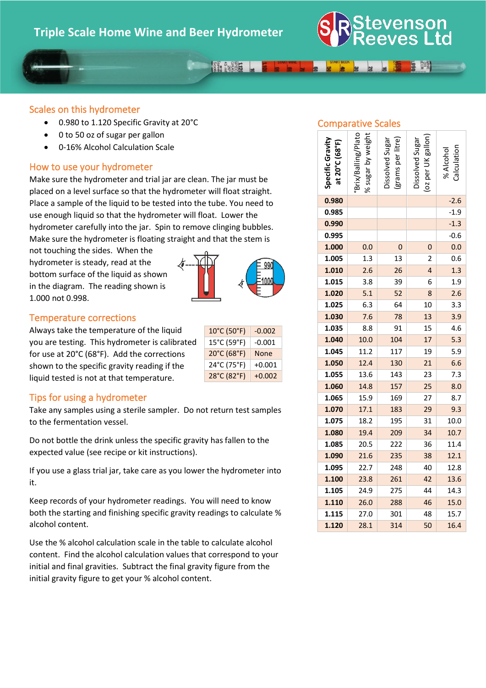

### 

### Scales on this hydrometer

- 0.980 to 1.120 Specific Gravity at 20°C
- 0 to 50 oz of sugar per gallon
- 0-16% Alcohol Calculation Scale

#### How to use your hydrometer

Make sure the hydrometer and trial jar are clean. The jar must be placed on a level surface so that the hydrometer will float straight. Place a sample of the liquid to be tested into the tube. You need to use enough liquid so that the hydrometer will float. Lower the hydrometer carefully into the jar. Spin to remove clinging bubbles. Make sure the hydrometer is floating straight and that the stem is

not touching the sides. When the hydrometer is steady, read at the bottom surface of the liquid as shown in the diagram. The reading shown is 1.000 not 0.998.



 $10^{\circ}$ C (50 $^{\circ}$ F) -0.002  $15^{\circ}$ C (59 $^{\circ}$ F)  $\vert$  -0.001 20°C (68°F) None 24°C (75°F) +0.001 28°C (82°F) +0.002

#### Temperature corrections

Always take the temperature of the liquid you are testing. This hydrometer is calibrated for use at 20°C (68°F). Add the corrections shown to the specific gravity reading if the liquid tested is not at that temperature.



Take any samples using a sterile sampler. Do not return test samples to the fermentation vessel.

Do not bottle the drink unless the specific gravity has fallen to the expected value (see recipe or kit instructions).

If you use a glass trial jar, take care as you lower the hydrometer into it.

Keep records of your hydrometer readings. You will need to know both the starting and finishing specific gravity readings to calculate % alcohol content.

Use the % alcohol calculation scale in the table to calculate alcohol content. Find the alcohol calculation values that correspond to your initial and final gravities. Subtract the final gravity figure from the initial gravity figure to get your % alcohol content.

### Comparative Scales

| Specific Gravity<br>at 20°C (68°F) | % sugar by weight<br>Brix/Balling/Plato | grams per litre<br>Dissolved Sugar | oz per UK gallon)<br>Dissolved Sugar | Calculation<br>% Alcohol |
|------------------------------------|-----------------------------------------|------------------------------------|--------------------------------------|--------------------------|
| 0.980                              |                                         |                                    |                                      | $-2.6$                   |
| 0.985                              |                                         |                                    |                                      | $-1.9$                   |
| 0.990                              |                                         |                                    |                                      | $-1.3$                   |
| 0.995                              |                                         |                                    |                                      | $-0.6$                   |
| 1.000                              | 0.0                                     | 0                                  | 0                                    | 0.0                      |
| 1.005                              | 1.3                                     | 13                                 | $\overline{c}$                       | 0.6                      |
| 1.010                              | 2.6                                     | 26                                 | 4                                    | 1.3                      |
| 1.015                              | 3.8                                     | 39                                 | 6                                    | 1.9                      |
| 1.020                              | 5.1                                     | 52                                 | 8                                    | 2.6                      |
| 1.025                              | 6.3                                     | 64                                 | 10                                   | 3.3                      |
| 1.030                              | 7.6                                     | 78                                 | 13                                   | 3.9                      |
| 1.035                              | 8.8                                     | 91                                 | 15                                   | 4.6                      |
| 1.040                              | 10.0                                    | 104                                | 17                                   | 5.3                      |
| 1.045                              | 11.2                                    | 117                                | 19                                   | 5.9                      |
| 1.050                              | 12.4                                    | 130                                | 21                                   | 6.6                      |
| 1.055                              | 13.6                                    | 143                                | 23                                   | 7.3                      |
| 1.060                              | 14.8                                    | 157                                | 25                                   | 8.0                      |
| 1.065                              | 15.9                                    | 169                                | 27                                   | 8.7                      |
| 1.070                              | 17.1                                    | 183                                | 29                                   | 9.3                      |
| 1.075                              | 18.2                                    | 195                                | 31                                   | 10.0                     |
| 1.080                              | 19.4                                    | 209                                | 34                                   | 10.7                     |
| 1.085                              | 20.5                                    | 222                                | 36                                   | 11.4                     |
| 1.090                              | 21.6                                    | 235                                | 38                                   | 12.1                     |
| 1.095                              | 22.7                                    | 248                                | 40                                   | 12.8                     |
| 1.100                              | 23.8                                    | 261                                | 42                                   | 13.6                     |
| 1.105                              | 24.9                                    | 275                                | 44                                   | 14.3                     |
| 1.110                              | 26.0                                    | 288                                | 46                                   | 15.0                     |
| 1.115                              | 27.0                                    | 301                                | 48                                   | 15.7                     |
| 1.120                              | 28.1                                    | 314                                | 50                                   | 16.4                     |